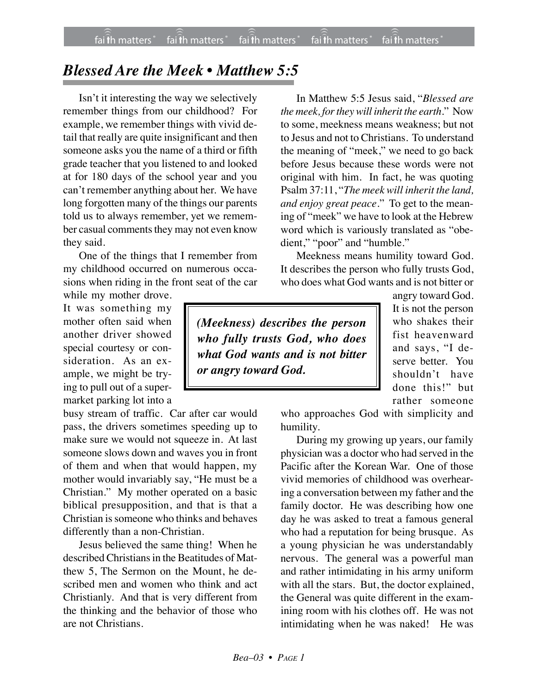## *Blessed Are the Meek • Matthew 5:5*

Isn't it interesting the way we selectively remember things from our childhood? For example, we remember things with vivid detail that really are quite insignificant and then someone asks you the name of a third or fifth grade teacher that you listened to and looked at for 180 days of the school year and you can't remember anything about her. We have long forgotten many of the things our parents told us to always remember, yet we remember casual comments they may not even know they said.

One of the things that I remember from my childhood occurred on numerous occasions when riding in the front seat of the car

while my mother drove. It was something my mother often said when another driver showed special courtesy or consideration. As an example, we might be trying to pull out of a supermarket parking lot into a

busy stream of traffic. Car after car would pass, the drivers sometimes speeding up to make sure we would not squeeze in. At last someone slows down and waves you in front of them and when that would happen, my mother would invariably say, "He must be a Christian." My mother operated on a basic biblical presupposition, and that is that a Christian is someone who thinks and behaves differently than a non-Christian.

Jesus believed the same thing! When he described Christians in the Beatitudes of Matthew 5, The Sermon on the Mount, he described men and women who think and act Christianly. And that is very different from the thinking and the behavior of those who are not Christians.

In Matthew 5:5 Jesus said, "*Blessed are the meek, for they will inherit the earth.*" Now to some, meekness means weakness; but not to Jesus and not to Christians. To understand the meaning of "meek," we need to go back before Jesus because these words were not original with him. In fact, he was quoting Psalm 37:11, "*The meek will inherit the land, and enjoy great peace.*" To get to the meaning of "meek" we have to look at the Hebrew word which is variously translated as "obedient," "poor" and "humble."

Meekness means humility toward God. It describes the person who fully trusts God, who does what God wants and is not bitter or

*(Meekness) describes the person who fully trusts God, who does what God wants and is not bitter or angry toward God.*

angry toward God. It is not the person who shakes their fist heavenward and says, "I deserve better. You shouldn't have done this!" but rather someone

who approaches God with simplicity and humility.

During my growing up years, our family physician was a doctor who had served in the Pacific after the Korean War. One of those vivid memories of childhood was overhearing a conversation between my father and the family doctor. He was describing how one day he was asked to treat a famous general who had a reputation for being brusque. As a young physician he was understandably nervous. The general was a powerful man and rather intimidating in his army uniform with all the stars. But, the doctor explained, the General was quite different in the examining room with his clothes off. He was not intimidating when he was naked! He was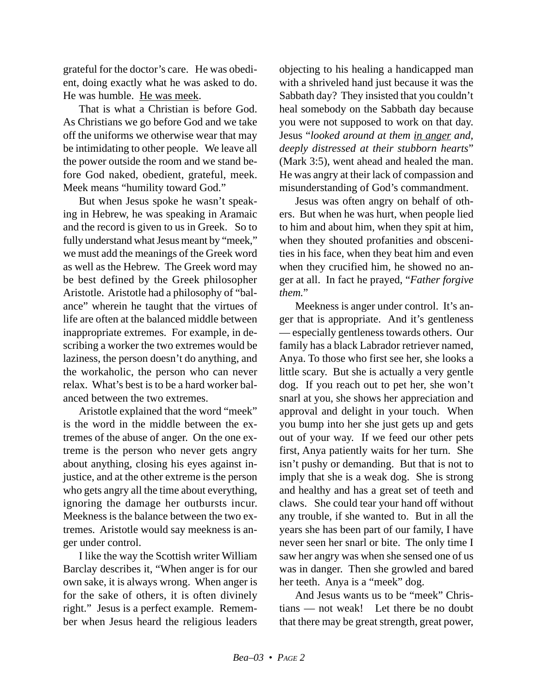grateful for the doctor's care. He was obedient, doing exactly what he was asked to do. He was humble. He was meek.

That is what a Christian is before God. As Christians we go before God and we take off the uniforms we otherwise wear that may be intimidating to other people. We leave all the power outside the room and we stand before God naked, obedient, grateful, meek. Meek means "humility toward God."

But when Jesus spoke he wasn't speaking in Hebrew, he was speaking in Aramaic and the record is given to us in Greek. So to fully understand what Jesus meant by "meek," we must add the meanings of the Greek word as well as the Hebrew. The Greek word may be best defined by the Greek philosopher Aristotle. Aristotle had a philosophy of "balance" wherein he taught that the virtues of life are often at the balanced middle between inappropriate extremes. For example, in describing a worker the two extremes would be laziness, the person doesn't do anything, and the workaholic, the person who can never relax. What's best is to be a hard worker balanced between the two extremes.

Aristotle explained that the word "meek" is the word in the middle between the extremes of the abuse of anger. On the one extreme is the person who never gets angry about anything, closing his eyes against injustice, and at the other extreme is the person who gets angry all the time about everything, ignoring the damage her outbursts incur. Meekness is the balance between the two extremes. Aristotle would say meekness is anger under control.

I like the way the Scottish writer William Barclay describes it, "When anger is for our own sake, it is always wrong. When anger is for the sake of others, it is often divinely right." Jesus is a perfect example. Remember when Jesus heard the religious leaders

objecting to his healing a handicapped man with a shriveled hand just because it was the Sabbath day? They insisted that you couldn't heal somebody on the Sabbath day because you were not supposed to work on that day. Jesus "*looked around at them in anger and, deeply distressed at their stubborn hearts*" (Mark 3:5), went ahead and healed the man. He was angry at their lack of compassion and misunderstanding of God's commandment.

Jesus was often angry on behalf of others. But when he was hurt, when people lied to him and about him, when they spit at him, when they shouted profanities and obscenities in his face, when they beat him and even when they crucified him, he showed no anger at all. In fact he prayed, "*Father forgive them.*"

Meekness is anger under control. It's anger that is appropriate. And it's gentleness — especially gentleness towards others. Our family has a black Labrador retriever named, Anya. To those who first see her, she looks a little scary. But she is actually a very gentle dog. If you reach out to pet her, she won't snarl at you, she shows her appreciation and approval and delight in your touch. When you bump into her she just gets up and gets out of your way. If we feed our other pets first, Anya patiently waits for her turn. She isn't pushy or demanding. But that is not to imply that she is a weak dog. She is strong and healthy and has a great set of teeth and claws. She could tear your hand off without any trouble, if she wanted to. But in all the years she has been part of our family, I have never seen her snarl or bite. The only time I saw her angry was when she sensed one of us was in danger. Then she growled and bared her teeth. Anya is a "meek" dog.

And Jesus wants us to be "meek" Christians — not weak! Let there be no doubt that there may be great strength, great power,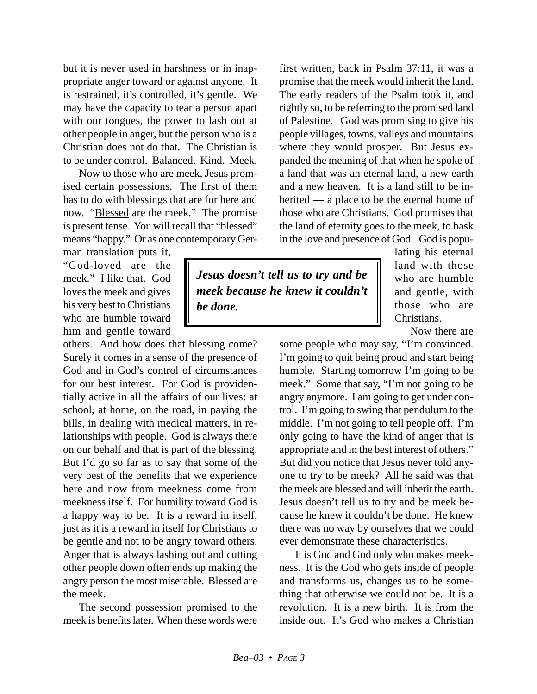but it is never used in harshness or in inappropriate anger toward or against anyone. It is restrained, it's controlled, it's gentle. We may have the capacity to tear a person apart with our tongues, the power to lash out at other people in anger, but the person who is a Christian does not do that. The Christian is to be under control. Balanced. Kind. Meek.

Now to those who are meek, Jesus promised certain possessions. The first of them has to do with blessings that are for here and now. "Blessed are the meek." The promise is present tense. You will recall that "blessed" means "happy." Or as one contemporary Ger-

man translation puts it, "God-loved are the meek." I like that. God loves the meek and gives his very best to Christians who are humble toward him and gentle toward

others. And how does that blessing come? Surely it comes in a sense of the presence of God and in God's control of circumstances for our best interest. For God is providentially active in all the affairs of our lives: at school, at home, on the road, in paying the bills, in dealing with medical matters, in relationships with people. God is always there on our behalf and that is part of the blessing. But I'd go so far as to say that some of the very best of the benefits that we experience here and now from meekness come from meekness itself. For humility toward God is a happy way to be. It is a reward in itself, just as it is a reward in itself for Christians to be gentle and not to be angry toward others. Anger that is always lashing out and cutting other people down often ends up making the angry person the most miserable. Blessed are the meek.

The second possession promised to the meek is benefits later. When these words were

first written, back in Psalm 37:11, it was a promise that the meek would inherit the land. The early readers of the Psalm took it, and rightly so, to be referring to the promised land of Palestine. God was promising to give his people villages, towns, valleys and mountains where they would prosper. But Jesus expanded the meaning of that when he spoke of a land that was an eternal land, a new earth and a new heaven. It is a land still to be inherited — a place to be the eternal home of those who are Christians. God promises that the land of eternity goes to the meek, to bask in the love and presence of God. God is popu-

*Jesus doesn't tell us to try and be meek because he knew it couldn't be done.*

lating his eternal land with those who are humble and gentle, with those who are Christians.

Now there are

some people who may say, "I'm convinced. I'm going to quit being proud and start being humble. Starting tomorrow I'm going to be meek." Some that say, "I'm not going to be angry anymore. I am going to get under control. I'm going to swing that pendulum to the middle. I'm not going to tell people off. I'm only going to have the kind of anger that is appropriate and in the best interest of others." But did you notice that Jesus never told anyone to try to be meek? All he said was that the meek are blessed and will inherit the earth. Jesus doesn't tell us to try and be meek because he knew it couldn't be done. He knew there was no way by ourselves that we could ever demonstrate these characteristics.

It is God and God only who makes meekness. It is the God who gets inside of people and transforms us, changes us to be something that otherwise we could not be. It is a revolution. It is a new birth. It is from the inside out. It's God who makes a Christian